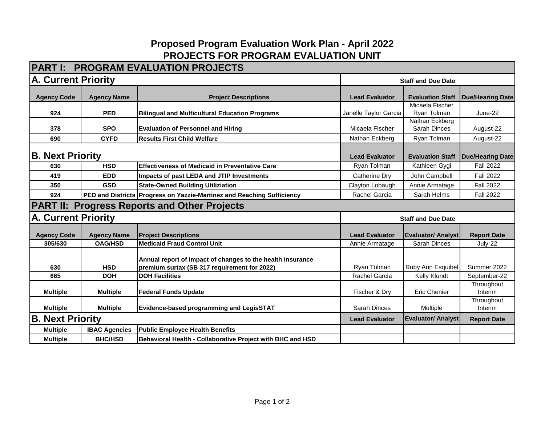## **Proposed Program Evaluation Work Plan - April 2022 PROJECTS FOR PROGRAM EVALUATION UNIT**

| PART I: PROGRAM EVALUATION PROJECTS                 |                      |                                                                                                            |                           |                                |                         |  |  |  |  |
|-----------------------------------------------------|----------------------|------------------------------------------------------------------------------------------------------------|---------------------------|--------------------------------|-------------------------|--|--|--|--|
| <b>A. Current Priority</b>                          |                      |                                                                                                            | <b>Staff and Due Date</b> |                                |                         |  |  |  |  |
| <b>Agency Code</b>                                  | <b>Agency Name</b>   | <b>Project Descriptions</b>                                                                                | <b>Lead Evaluator</b>     | <b>Evaluation Staff</b>        | <b>Due/Hearing Date</b> |  |  |  |  |
| 924                                                 | <b>PED</b>           | <b>Bilingual and Multicultural Education Programs</b>                                                      | Janelle Taylor Garcia     | Micaela Fischer<br>Ryan Tolman | June-22                 |  |  |  |  |
| 378                                                 | <b>SPO</b>           | <b>Evaluation of Personnel and Hiring</b>                                                                  | Micaela Fischer           | Nathan Eckberg<br>Sarah Dinces | August-22               |  |  |  |  |
| 690                                                 | <b>CYFD</b>          | <b>Results First Child Welfare</b>                                                                         | Nathan Eckberg            | Ryan Tolman                    | August-22               |  |  |  |  |
| <b>B. Next Priority</b>                             |                      |                                                                                                            | <b>Lead Evaluator</b>     | <b>Evaluation Staff</b>        | <b>Due/Hearing Date</b> |  |  |  |  |
| 630                                                 | <b>HSD</b>           | <b>Effectiveness of Medicaid in Preventative Care</b>                                                      | Ryan Tolman               | Kathleen Gygi                  | <b>Fall 2022</b>        |  |  |  |  |
| 419                                                 | <b>EDD</b>           | Impacts of past LEDA and JTIP Investments                                                                  | Catherine Dry             | John Campbell                  | <b>Fall 2022</b>        |  |  |  |  |
| 350                                                 | <b>GSD</b>           | <b>State-Owned Building Utiliziation</b>                                                                   | Clayton Lobaugh           | Annie Armatage                 | <b>Fall 2022</b>        |  |  |  |  |
| 924                                                 |                      | PED and Districts Progress on Yazzie-Martinez and Reaching Sufficiency                                     | Rachel Garcia             | Sarah Helms                    | <b>Fall 2022</b>        |  |  |  |  |
| <b>PART II: Progress Reports and Other Projects</b> |                      |                                                                                                            |                           |                                |                         |  |  |  |  |
| <b>A. Current Priority</b>                          |                      |                                                                                                            | <b>Staff and Due Date</b> |                                |                         |  |  |  |  |
| <b>Agency Code</b>                                  | <b>Agency Name</b>   | <b>Project Descriptions</b>                                                                                | <b>Lead Evaluator</b>     | <b>Evaluator/ Analyst</b>      | <b>Report Date</b>      |  |  |  |  |
| 305/630                                             | <b>OAG/HSD</b>       | <b>Medicaid Fraud Control Unit</b>                                                                         | Annie Armatage            | Sarah Dinces                   | July-22                 |  |  |  |  |
| 630                                                 | <b>HSD</b>           | Annual report of impact of changes to the health insurance<br>premium surtax (SB 317 requirement for 2022) | Ryan Tolman               | Ruby Ann Esquibel              | Summer 2022             |  |  |  |  |
| 665                                                 | <b>DOH</b>           | <b>DOH Facilities</b>                                                                                      | Rachel Garcia             | Kelly Klundt                   | September-22            |  |  |  |  |
| <b>Multiple</b>                                     | <b>Multiple</b>      | <b>Federal Funds Update</b>                                                                                | Fischer & Dry             | Eric Chenier                   | Throughout<br>Interim   |  |  |  |  |
| <b>Multiple</b>                                     | <b>Multiple</b>      | Evidence-based programming and LegisSTAT                                                                   | <b>Sarah Dinces</b>       | Multiple                       | Throughout<br>Interim   |  |  |  |  |
| <b>B. Next Priority</b>                             |                      |                                                                                                            | <b>Lead Evaluator</b>     | <b>Evaluator/ Analyst</b>      | <b>Report Date</b>      |  |  |  |  |
| <b>Multiple</b>                                     | <b>IBAC Agencies</b> | <b>Public Employee Health Benefits</b>                                                                     |                           |                                |                         |  |  |  |  |
| <b>Multiple</b>                                     | <b>BHC/HSD</b>       | Behavioral Health - Collaborative Project with BHC and HSD                                                 |                           |                                |                         |  |  |  |  |